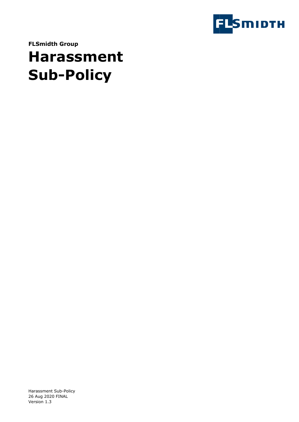

**FLSmidth Group**

# **Harassment Sub-Policy**

Harassment Sub-Policy 26 Aug 2020 FINAL Version 1.3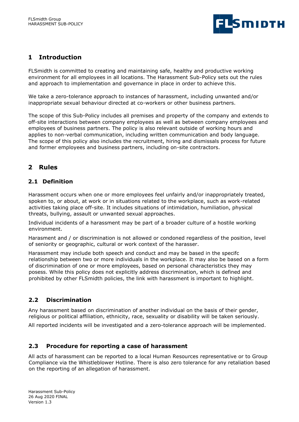

## **1 Introduction**

FLSmidth is committed to creating and maintaining safe, healthy and productive working environment for all employees in all locations. The Harassment Sub-Policy sets out the rules and approach to implementation and governance in place in order to achieve this.

We take a zero-tolerance approach to instances of harassment, including unwanted and/or inappropriate sexual behaviour directed at co-workers or other business partners.

The scope of this Sub-Policy includes all premises and property of the company and extends to off-site interactions between company employees as well as between company employees and employees of business partners. The policy is also relevant outside of working hours and applies to non-verbal communication, including written communication and body language. The scope of this policy also includes the recruitment, hiring and dismissals process for future and former employees and business partners, including on-site contractors.

## **2 Rules**

#### **2.1 Definition**

Harassment occurs when one or more employees feel unfairly and/or inappropriately treated, spoken to, or about, at work or in situations related to the workplace, such as work-related activities taking place off-site. It includes situations of intimidation, humiliation, physical threats, bullying, assault or unwanted sexual approaches.

Individual incidents of a harassment may be part of a broader culture of a hostile working environment.

Harasment and / or discrimination is not allowed or condoned regardless of the position, level of seniority or geographic, cultural or work context of the harasser.

Harassment may include both speech and conduct and may be based in the specifc relationship between two or more individuals in the workplace. It may also be based on a form of discrimination of one or more employees, based on personal characteristics they may posess. While this policy does not explicitly address discrimination, which is defined and prohibited by other FLSmidth policies, the link with harassment is important to highlight.

#### **2.2 Discrimination**

Any harassment based on discrimination of another individual on the basis of their gender, religious or political affiliation, ethnicity, race, sexuality or disability will be taken seriously.

All reported incidents will be investigated and a zero-tolerance approach will be implemented.

#### **2.3 Procedure for reporting a case of harassment**

All acts of harassment can be reported to a local Human Resources representative or to Group Compliance via the Whistleblower Hotline. There is also zero tolerance for any retaliation based on the reporting of an allegation of harassment.